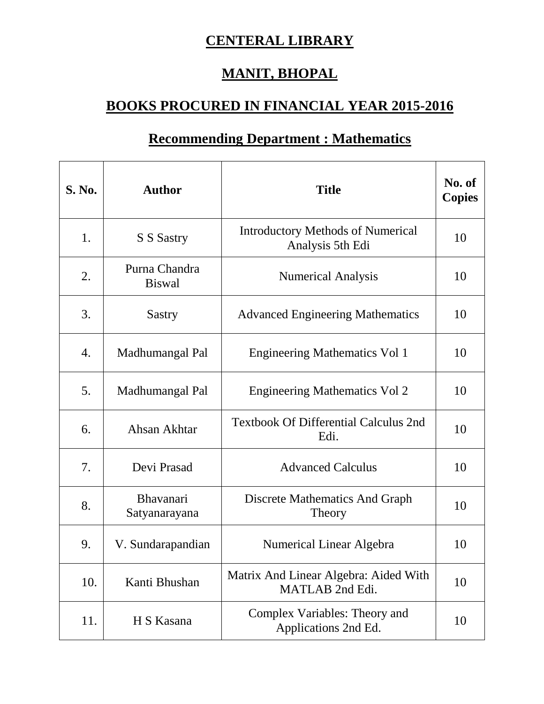## **CENTERAL LIBRARY**

## **MANIT, BHOPAL**

## **BOOKS PROCURED IN FINANCIAL YEAR 2015-2016**

## **Recommending Department : Mathematics**

| <b>S. No.</b> | <b>Author</b>                  | <b>Title</b>                                                 | No. of<br><b>Copies</b> |
|---------------|--------------------------------|--------------------------------------------------------------|-------------------------|
| 1.            | S S Sastry                     | <b>Introductory Methods of Numerical</b><br>Analysis 5th Edi | 10                      |
| 2.            | Purna Chandra<br><b>Biswal</b> | <b>Numerical Analysis</b>                                    | 10                      |
| 3.            | Sastry                         | <b>Advanced Engineering Mathematics</b>                      | 10                      |
| 4.            | Madhumangal Pal                | <b>Engineering Mathematics Vol 1</b>                         | 10                      |
| 5.            | Madhumangal Pal                | <b>Engineering Mathematics Vol 2</b>                         | 10                      |
| 6.            | Ahsan Akhtar                   | <b>Textbook Of Differential Calculus 2nd</b><br>Edi.         | 10                      |
| 7.            | Devi Prasad                    | <b>Advanced Calculus</b>                                     | 10                      |
| 8.            | Bhavanari<br>Satyanarayana     | Discrete Mathematics And Graph<br>Theory                     | 10                      |
| 9.            | V. Sundarapandian              | Numerical Linear Algebra                                     | 10                      |
| 10.           | Kanti Bhushan                  | Matrix And Linear Algebra: Aided With<br>MATLAB 2nd Edi.     | 10                      |
| 11.           | H S Kasana                     | Complex Variables: Theory and<br>Applications 2nd Ed.        | 10                      |